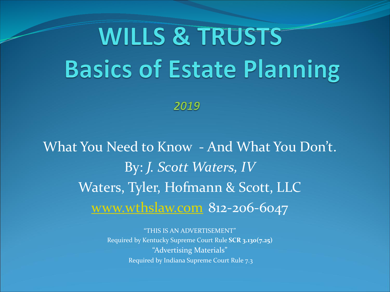# **WILLS & TRUSTS Basics of Estate Planning**

2019

What You Need to Know - And What You Don't. By: *J. Scott Waters, IV* Waters, Tyler, Hofmann & Scott, LLC [www.wthslaw.com](http://www.wtshdlaw.com/) 812-206-6047

> "THIS IS AN ADVERTISEMENT" Required by Kentucky Supreme Court Rule **SCR 3.130(7.25)** "Advertising Materials" Required by Indiana Supreme Court Rule 7.3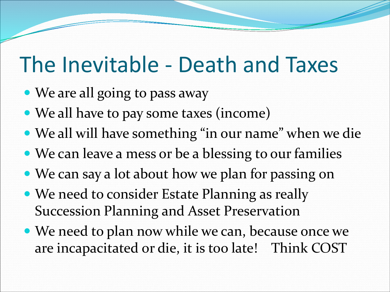### The Inevitable - Death and Taxes

- We are all going to pass away
- We all have to pay some taxes (income)
- We all will have something "in our name" when we die
- We can leave a mess or be a blessing to our families
- We can say a lot about how we plan for passing on
- We need to consider Estate Planning as really Succession Planning and Asset Preservation
- We need to plan now while we can, because once we are incapacitated or die, it is too late! Think COST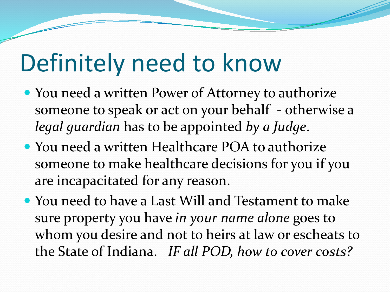# Definitely need to know

- You need a written Power of Attorney to authorize someone to speak or act on your behalf - otherwise a *legal guardian* has to be appointed *by a Judge*.
- You need a written Healthcare POA to authorize someone to make healthcare decisions for you if you are incapacitated for any reason.
- You need to have a Last Will and Testament to make sure property you have *in your name alone* goes to whom you desire and not to heirs at law or escheats to the State of Indiana. *IF all POD, how to cover costs?*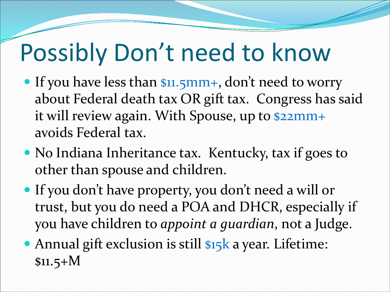# Possibly Don't need to know

- If you have less than \$11.5mm+, don't need to worry about Federal death tax OR gift tax. Congress has said it will review again. With Spouse, up to \$22mm+ avoids Federal tax.
- No Indiana Inheritance tax. Kentucky, tax if goes to other than spouse and children.
- If you don't have property, you don't need a will or trust, but you do need a POA and DHCR, especially if you have children to *appoint a guardian*, not a Judge.
- Annual gift exclusion is still \$15<sup>k</sup> a year. Lifetime:  $$11.5+M$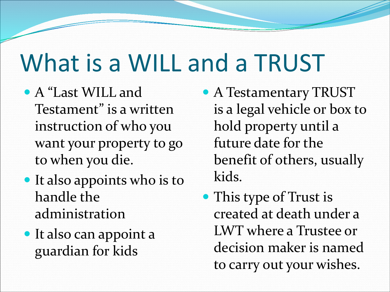## What is a WILL and a TRUST

- A "Last WILL and Testament" is a written instruction of who you want your property to go to when you die.
- It also appoints who is to handle the administration
- It also can appoint a guardian for kids
- A Testamentary TRUST is a legal vehicle or box to hold property until a future date for the benefit of others, usually kids.
- This type of Trust is created at death under a LWT where a Trustee or decision maker is named to carry out your wishes.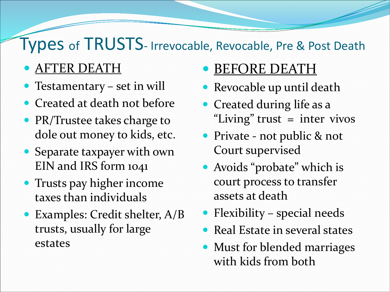### Types of TRUSTS- Irrevocable, Revocable, Pre & Post Death

- AFTER DEATH
- Testamentary set in will
- Created at death not before
- PR/Trustee takes charge to dole out money to kids, etc.
- Separate taxpayer with own EIN and IRS form 1041
- Trusts pay higher income taxes than individuals
- Examples: Credit shelter, A/B trusts, usually for large estates
- BEFORE DEATH
- Revocable up until death
- Created during life as a "Living" trust = inter vivos
- Private not public & not Court supervised
- Avoids "probate" which is court process to transfer assets at death
- Flexibility special needs
- Real Estate in several states
- Must for blended marriages with kids from both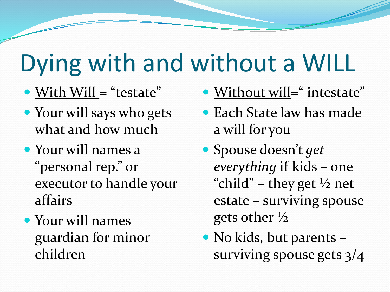# Dying with and without a WILL

- With Will = "testate"
- Your will says who gets what and how much
- Your will names a "personal rep." or executor to handle your affairs
- Your will names guardian for minor children
- Without will=" intestate"
- Each State law has made a will for you
- Spouse doesn't *get everything* if kids – one "child" – they get  $\frac{1}{2}$  net estate – surviving spouse gets other ½
- No kids, but parents surviving spouse gets 3/4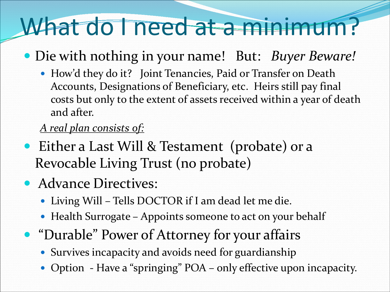## What do I need at a minimum?

- Die with nothing in your name! But: *Buyer Beware!*
	- How'd they do it? Joint Tenancies, Paid or Transfer on Death Accounts, Designations of Beneficiary, etc. Heirs still pay final costs but only to the extent of assets received within a year of death and after.

#### *A real plan consists of:*

- Either a Last Will & Testament (probate) or a Revocable Living Trust (no probate)
- Advance Directives:
	- Living Will Tells DOCTOR if I am dead let me die.
	- Health Surrogate Appoints someone to act on your behalf
- "Durable" Power of Attorney for your affairs
	- Survives incapacity and avoids need for guardianship
	- Option Have a "springing" POA only effective upon incapacity.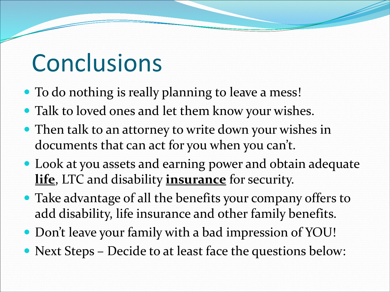## **Conclusions**

- To do nothing is really planning to leave a mess!
- Talk to loved ones and let them know your wishes.
- Then talk to an attorney to write down your wishes in documents that can act for you when you can't.
- Look at you assets and earning power and obtain adequate **life**, LTC and disability **insurance** for security.
- Take advantage of all the benefits your company offers to add disability, life insurance and other family benefits.
- Don't leave your family with a bad impression of YOU!
- Next Steps Decide to at least face the questions below: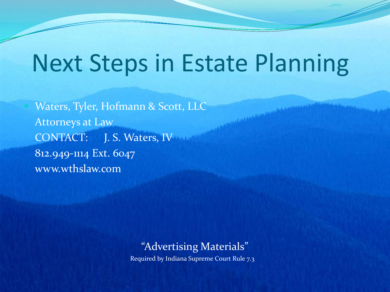### Next Steps in Estate Planning

 Waters, Tyler, Hofmann & Scott, LLC Attorneys at Law CONTACT: J. S. Waters, IV 812.949-1114 Ext. 6047 www.wthslaw.com

#### "Advertising Materials"

Required by Indiana Supreme Court Rule 7.3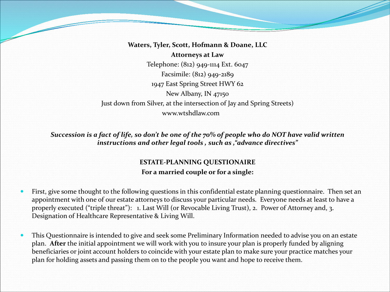**Waters, Tyler, Scott, Hofmann & Doane, LLC Attorneys at Law** Telephone: (812) 949-1114 Ext. 6047 Facsimile: (812) 949-2189 1947 East Spring Street HWY 62 New Albany, IN 47150 Just down from Silver, at the intersection of Jay and Spring Streets) www.wtshdlaw.com

*Succession is a fact of life, so don't be one of the 70% of people who do NOT have valid written instructions and other legal tools , such as ,"advance directives"*

#### **ESTATE-PLANNING QUESTIONAIRE For a married couple or for a single:**

- First, give some thought to the following questions in this confidential estate planning questionnaire. Then set an appointment with one of our estate attorneys to discuss your particular needs. Everyone needs at least to have a properly executed ("triple threat"): 1. Last Will (or Revocable Living Trust), 2. Power of Attorney and, 3. Designation of Healthcare Representative & Living Will.
- This Questionnaire is intended to give and seek some Preliminary Information needed to advise you on an estate plan. **After** the initial appointment we will work with you to insure your plan is properly funded by aligning beneficiaries or joint account holders to coincide with your estate plan to make sure your practice matches your plan for holding assets and passing them on to the people you want and hope to receive them.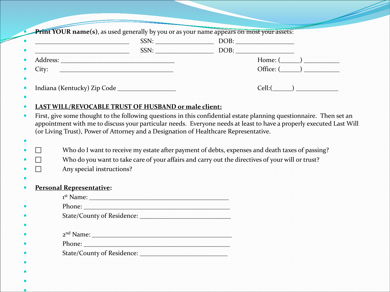|                             | SSN:                                                                                 | DOB: |                                                                                                                                                                                                                                            |
|-----------------------------|--------------------------------------------------------------------------------------|------|--------------------------------------------------------------------------------------------------------------------------------------------------------------------------------------------------------------------------------------------|
|                             | SSN:                                                                                 | DOB: |                                                                                                                                                                                                                                            |
| Address:                    |                                                                                      |      | Home: (                                                                                                                                                                                                                                    |
| City:                       |                                                                                      |      | Office: (                                                                                                                                                                                                                                  |
| Indiana (Kentucky) Zip Code |                                                                                      |      | Cell:                                                                                                                                                                                                                                      |
|                             | LAST WILL/REVOCABLE TRUST OF HUSBAND or male client:                                 |      |                                                                                                                                                                                                                                            |
|                             | (or Living Trust), Power of Attorney and a Designation of Healthcare Representative. |      | First, give some thought to the following questions in this confidential estate planning questionnaire. Then set an<br>appointment with me to discuss your particular needs. Everyone needs at least to have a properly executed Last Will |

- Who do I want to receive my estate after payment of debts, expenses and death taxes of passing?
- $\Box$  Who do you want to take care of your affairs and carry out the directives of your will or trust?
- Any special instructions?
- $\bullet$

 $\bullet$  $\bullet$  $\bullet$ 

#### **Personal Representative:**

| $1st$ Name:                   |
|-------------------------------|
| Phone:                        |
|                               |
|                               |
| 2 <sup>nd</sup> Name:         |
| Phone:                        |
| State/County of Residence: __ |
|                               |
|                               |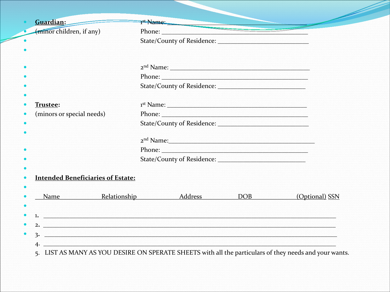| Guardian:                                                                                                                                                                                                                            | T <sup>st</sup> Name:                                                                                                                                                                                                                    |                |
|--------------------------------------------------------------------------------------------------------------------------------------------------------------------------------------------------------------------------------------|------------------------------------------------------------------------------------------------------------------------------------------------------------------------------------------------------------------------------------------|----------------|
| (minor children, if any)                                                                                                                                                                                                             |                                                                                                                                                                                                                                          |                |
|                                                                                                                                                                                                                                      |                                                                                                                                                                                                                                          |                |
|                                                                                                                                                                                                                                      |                                                                                                                                                                                                                                          |                |
|                                                                                                                                                                                                                                      |                                                                                                                                                                                                                                          |                |
|                                                                                                                                                                                                                                      |                                                                                                                                                                                                                                          |                |
|                                                                                                                                                                                                                                      |                                                                                                                                                                                                                                          |                |
| Trustee:                                                                                                                                                                                                                             | 1 <sup>st</sup> Name:                                                                                                                                                                                                                    |                |
| (minors or special needs)                                                                                                                                                                                                            | Phone: 2008 Phone: 2008 Phone: 2008 Phone: 2008 Phone: 2008 Phone: 2008 Phone: 2008 Phone: 2008 Phone: 2008 Phone: 2008 Phone: 2008 Phone: 2008 Phone: 2008 Phone: 2008 Phone: 2008 Phone: 2008 Phone: 2008 Phone: 2008 Phone:           |                |
|                                                                                                                                                                                                                                      |                                                                                                                                                                                                                                          |                |
|                                                                                                                                                                                                                                      | 2 <sup>nd</sup> Name: 2008 and 2008 and 2008 and 2008 and 2008 and 2008 and 2008 and 2008 and 2008 and 2008 and 2008 and 2008 and 2008 and 2008 and 2008 and 2008 and 2008 and 2008 and 2008 and 2008 and 2008 and 2008 and 2008 and 200 |                |
|                                                                                                                                                                                                                                      | Phone: <u>Alexander School and School and School and School and School and School and School and School and School and School and School and School and School and School and School and School and School and School and School</u>     |                |
|                                                                                                                                                                                                                                      |                                                                                                                                                                                                                                          |                |
|                                                                                                                                                                                                                                      |                                                                                                                                                                                                                                          |                |
| <b>Intended Beneficiaries of Estate:</b>                                                                                                                                                                                             |                                                                                                                                                                                                                                          |                |
| Name Relationship Address DOB                                                                                                                                                                                                        |                                                                                                                                                                                                                                          | (Optional) SSN |
|                                                                                                                                                                                                                                      |                                                                                                                                                                                                                                          |                |
| 1. <u>The communication of the contract of the contract of the contract of the contract of the contract of the contract of the contract of the contract of the contract of the contract of the contract of the contract of the c</u> |                                                                                                                                                                                                                                          |                |
| 2. $\blacksquare$                                                                                                                                                                                                                    |                                                                                                                                                                                                                                          |                |
| <u>3. The contract of the contract of the contract of the contract of the contract of the contract of the contract of the contract of the contract of the contract of the contract of the contract of the contract of the contra</u> |                                                                                                                                                                                                                                          |                |
|                                                                                                                                                                                                                                      |                                                                                                                                                                                                                                          |                |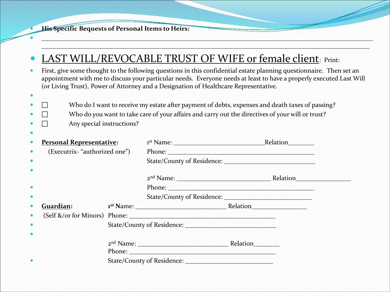**His Specific Bequests of Personal Items to Heirs:**

#### LAST WILL/REVOCABLE TRUST OF WIFE or female client: Print:

 First, give some thought to the following questions in this confidential estate planning questionnaire. Then set an appointment with me to discuss your particular needs. Everyone needs at least to have a properly executed Last Will (or Living Trust), Power of Attorney and a Designation of Healthcare Representative.

 $\bullet$  . The contribution of the contribution of the contribution of the contribution of the contribution of the contribution of the contribution of the contribution of the contribution of the contribution of the contributi  $\sim$  . The second constraint of the second constraint of the second constraint of the second constraint of the second constraint of the second constraint of the second constraint of the second constraint of the second con

- $\square$  Who do I want to receive my estate after payment of debts, expenses and death taxes of passing?
- $\Box$  Who do you want to take care of your affairs and carry out the directives of your will or trust?
- Any special instructions?

 $\bullet$ 

 $\bullet$ 

| $\bullet$ | <b>Personal Representative:</b>   |                       | 1 <sup>st</sup> Name:      |          | Relation |  |
|-----------|-----------------------------------|-----------------------|----------------------------|----------|----------|--|
| $\bullet$ | (Executrix- "authorized one")     |                       | Phone:                     |          |          |  |
| $\bullet$ |                                   |                       |                            |          |          |  |
|           |                                   |                       |                            |          |          |  |
|           |                                   |                       | 2 <sup>nd</sup> Name:      |          | Relation |  |
| $\bullet$ |                                   |                       | Phone:                     |          |          |  |
| $\bullet$ |                                   |                       |                            |          |          |  |
| $\bullet$ | Guardian:                         |                       | 1 <sup>st</sup> Name:      | Relation |          |  |
| $\bullet$ | (Self $\&$ /or for Minors) Phone: |                       |                            |          |          |  |
| $\bullet$ |                                   |                       | State/County of Residence: |          |          |  |
|           |                                   |                       |                            |          |          |  |
|           |                                   | 2 <sup>nd</sup> Name: |                            | Relation |          |  |
|           |                                   | Phone:                |                            |          |          |  |
| $\bullet$ |                                   |                       | State/County of Residence: |          |          |  |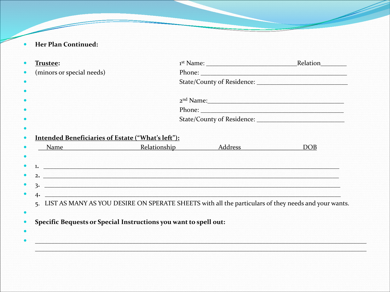Her Plan Continued:  $\bullet$ 

|           | Trustee:                                                                                                                                                                                                                                                                                       | 1 <sup>st</sup> Name:            | Relation   |
|-----------|------------------------------------------------------------------------------------------------------------------------------------------------------------------------------------------------------------------------------------------------------------------------------------------------|----------------------------------|------------|
|           | (minors or special needs)                                                                                                                                                                                                                                                                      |                                  |            |
| $\bullet$ |                                                                                                                                                                                                                                                                                                |                                  |            |
|           |                                                                                                                                                                                                                                                                                                |                                  |            |
|           |                                                                                                                                                                                                                                                                                                | 2 <sup>nd</sup> Name: 2008 Name: |            |
|           |                                                                                                                                                                                                                                                                                                |                                  |            |
| $\bullet$ |                                                                                                                                                                                                                                                                                                |                                  |            |
|           |                                                                                                                                                                                                                                                                                                |                                  |            |
|           | <b>Intended Beneficiaries of Estate ("What's left"):</b>                                                                                                                                                                                                                                       |                                  |            |
|           | <b>Example 2</b> Relationship                                                                                                                                                                                                                                                                  | Address                          | <b>DOB</b> |
| $\bullet$ |                                                                                                                                                                                                                                                                                                |                                  |            |
| $\bullet$ | 1. The contract of the contract of the contract of the contract of the contract of the contract of the contract of                                                                                                                                                                             |                                  |            |
| $\bullet$ | 2. 2. 2001 - 2001 - 2002 - 2003 - 2004 - 2005 - 2006 - 2007 - 2008 - 2008 - 2008 - 2008 - 2008 - 2008 - 2008 - 2008                                                                                                                                                                            |                                  |            |
| $\bullet$ | 3. The contract of the contract of the contract of $\mathbf{S}$ , $\mathbf{S}$ , $\mathbf{S}$ , $\mathbf{S}$ , $\mathbf{S}$ , $\mathbf{S}$ , $\mathbf{S}$ , $\mathbf{S}$ , $\mathbf{S}$ , $\mathbf{S}$ , $\mathbf{S}$ , $\mathbf{S}$ , $\mathbf{S}$ , $\mathbf{S}$ , $\mathbf{S}$ , $\mathbf{$ |                                  |            |
| $\bullet$ | 4.                                                                                                                                                                                                                                                                                             |                                  |            |
|           | 5. LIST AS MANY AS YOU DESIRE ON SPERATE SHEETS with all the particulars of they needs and your wants.                                                                                                                                                                                         |                                  |            |
| $\bullet$ |                                                                                                                                                                                                                                                                                                |                                  |            |
| $\bullet$ | Specific Bequests or Special Instructions you want to spell out:                                                                                                                                                                                                                               |                                  |            |
| $\bullet$ |                                                                                                                                                                                                                                                                                                |                                  |            |
|           |                                                                                                                                                                                                                                                                                                |                                  |            |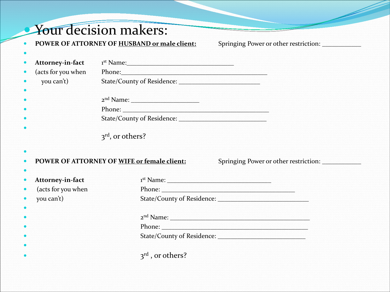#### Your decision makers:

 $\bullet$ 

 $\bullet$ 

**POWER OF ATTORNEY OF HUSBAND or male client:** Springing Power or other restriction: \_\_\_\_\_\_\_\_\_\_\_\_\_\_\_\_\_\_\_\_\_\_\_\_\_\_\_\_

| • Attorney-in-fact   | $1st$ Name:                  |
|----------------------|------------------------------|
| • (acts for you when | Phone:                       |
| $\bullet$ you can't) | State/County of Residence: _ |
|                      |                              |
|                      | 2 <sup>nd</sup> Name:        |
|                      | Phone:                       |
|                      | State/County of Residence:   |
|                      |                              |
|                      | $3rd$ , or others?           |
|                      |                              |

#### $\bullet$ **POWER OF ATTORNEY OF WIFE or female client:** Springing Power or other restriction: \_\_\_\_\_\_\_\_\_\_\_\_

| • Attorney-in-fact   | $1st$ Name: $\_\$            |
|----------------------|------------------------------|
| • (acts for you when | Phone:                       |
| • you can't)         | State/County of Residence:   |
|                      |                              |
|                      | 2 <sup>nd</sup> Name:        |
|                      | Phone:                       |
|                      | State/County of Residence:   |
|                      |                              |
|                      | 3 <sup>rd</sup> , or others? |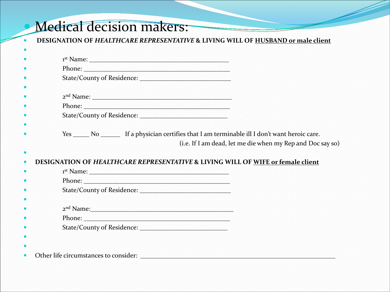### Medical decision makers:

**DESIGNATION OF** *HEALTHCARE REPRESENTATIVE* **& LIVING WILL OF HUSBAND or male client**